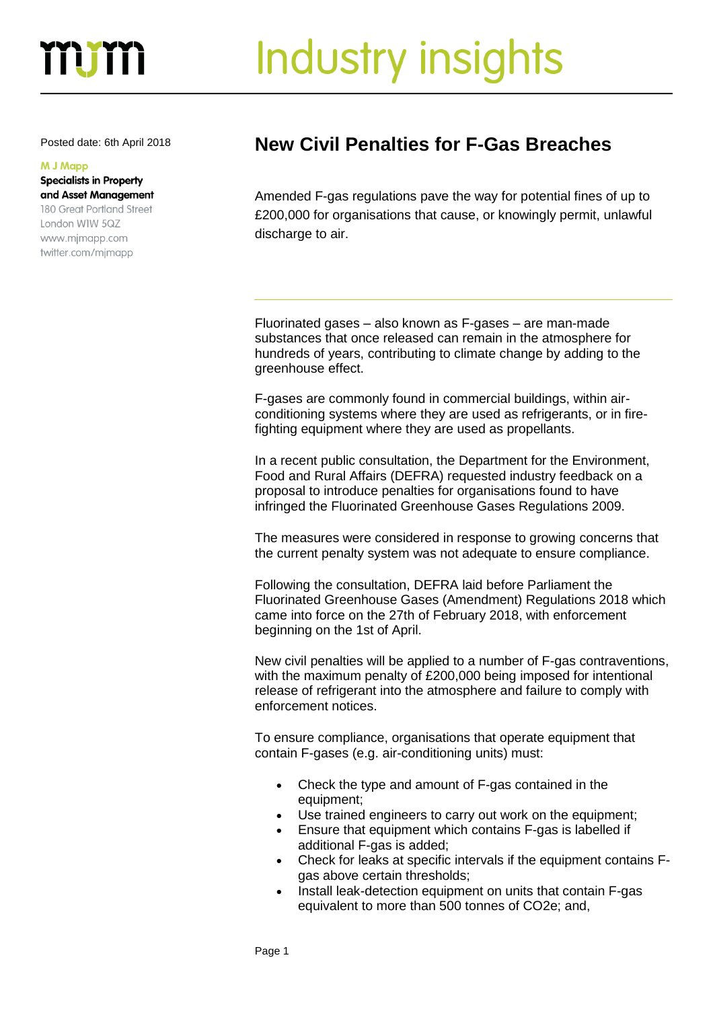## m

# Industry insights

#### **M J Mapp**

#### **Specialists in Property** and Asset Management 180 Great Portland Street

London WIW 5QZ www.mjmapp.com twitter.com/mjmapp

### Posted date: 6th April <sup>2018</sup> **New Civil Penalties for F-Gas Breaches**

Amended F-gas regulations pave the way for potential fines of up to £200,000 for organisations that cause, or knowingly permit, unlawful discharge to air.

Fluorinated gases – also known as F-gases – are man-made substances that once released can remain in the atmosphere for hundreds of years, contributing to climate change by adding to the greenhouse effect.

F-gases are commonly found in commercial buildings, within airconditioning systems where they are used as refrigerants, or in firefighting equipment where they are used as propellants.

In a recent public consultation, the Department for the Environment, Food and Rural Affairs (DEFRA) requested industry feedback on a proposal to introduce penalties for organisations found to have infringed the Fluorinated Greenhouse Gases Regulations 2009.

The measures were considered in response to growing concerns that the current penalty system was not adequate to ensure compliance.

Following the consultation, DEFRA laid before Parliament the Fluorinated Greenhouse Gases (Amendment) Regulations 2018 which came into force on the 27th of February 2018, with enforcement beginning on the 1st of April.

New civil penalties will be applied to a number of F-gas contraventions, with the maximum penalty of £200,000 being imposed for intentional release of refrigerant into the atmosphere and failure to comply with enforcement notices.

To ensure compliance, organisations that operate equipment that contain F-gases (e.g. air-conditioning units) must:

- Check the type and amount of F-gas contained in the equipment;
- Use trained engineers to carry out work on the equipment;
- Ensure that equipment which contains F-gas is labelled if additional F-gas is added;
- Check for leaks at specific intervals if the equipment contains Fgas above certain thresholds;
- Install leak-detection equipment on units that contain F-gas equivalent to more than 500 tonnes of CO2e; and,